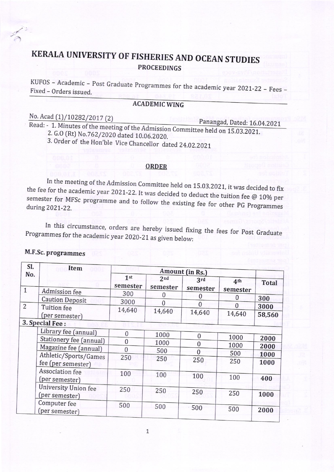# **PROCEEDINGS** KERATA UNIVERSITY OF FISHERIES AND OCEAN STUDIES

KUFOS – Academic – Post Graduate Programmes for the academic year 2021-22 – Fees –<br>Fixed – Orders issued. Fixed - Orders issued.

## ACADEMICWING

## No. Acad (1)/10282/2017 (2)

Panangad, Dated: 16.04.2021<br>Read: - 1. Minutes of the meeting of the Admission Committee held on 15.03.2021.<br>2. G.O (Rt) No.762/2020 dated 10.06.2020.  $2. G. O$ 

3. Order of the Hon'ble Vice Chancellor dated 24.02.2021

#### ORDER

In the meeting of the Admission Committee held on 15.03.2021, it was decided to fix the fee for the academic year 2021-22. It was decided to deduct the tuition fee  $@$  10% per semester for MFSc programme and to follow the existing fee for other PG Programmes during 2021-22.

Programmes for the academic year 2020-21 as given below: In this circumstance, orders are hereby issued fixing the fees for Post Graduate

#### M.F.Sc. programmes

| SI.                 | Item                                   | Amount (in Rs.)             |                             |                 |                             |              |
|---------------------|----------------------------------------|-----------------------------|-----------------------------|-----------------|-----------------------------|--------------|
| No.<br>$\mathbf{1}$ | Admission fee                          | 1 <sup>st</sup><br>semester | 2 <sub>nd</sub><br>semester | 3rd<br>semester | 4 <sup>th</sup><br>semester | <b>Total</b> |
|                     | <b>Caution Deposit</b>                 | 300                         | $\Omega$                    | 0               | 0                           | 300          |
| $\overline{2}$      |                                        | 3000                        | 0                           | $\Omega$        | $\theta$                    | 3000         |
|                     | Tuition fee<br>(per semester)          | 14,640                      | 14,640                      | 14,640          | 14,640                      | 58,560       |
|                     | 3. Special Fee:                        |                             |                             |                 |                             |              |
|                     | Library fee (annual)                   | $\boldsymbol{0}$            | 1000                        | $\mathbf{0}$    |                             |              |
|                     | Stationery fee (annual)                | $\boldsymbol{0}$            | 1000                        | 0               | 1000                        | 2000         |
|                     | Magazine fee (annual)                  | $\overline{0}$              | 500                         |                 | 1000                        | 2000         |
|                     | Athletic/Sports/Games                  | 250                         |                             | $\bf{0}$        | 500                         | 1000         |
|                     | fee (per semester)                     |                             | 250                         | 250             | 250                         | 1000         |
|                     | Association fee<br>(per semester)      | 100                         | 100                         | 100             | 100                         | 400          |
|                     | University Union fee<br>(per semester) | 250                         | 250                         | 250             | 250                         | 1000         |
|                     | Computer fee<br>(per semester)         | 500                         | 500                         | 500             | 500                         | 2000         |